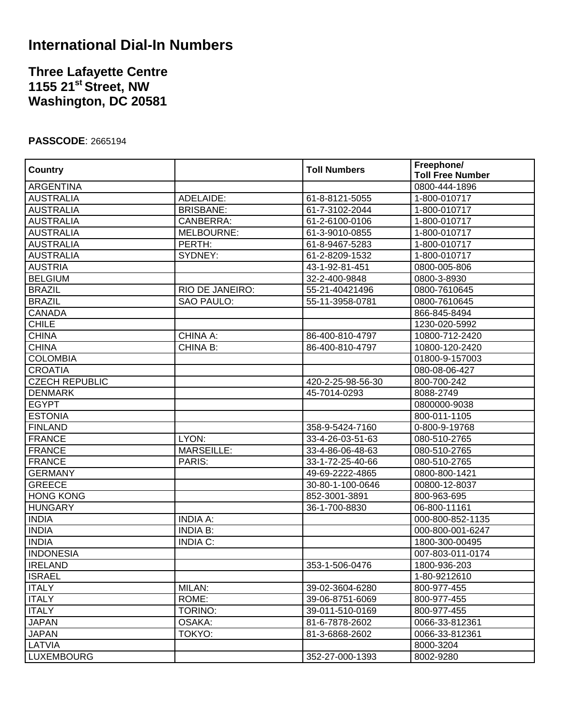## **International Dial-In Numbers**

## **Three Lafayette Centre 1155 21st Street, NW Washington, DC 20581**

## **PASSCODE**: 2665194

|                       |                   | <b>Toll Numbers</b><br>61-8-8121-5055 | Freephone/              |
|-----------------------|-------------------|---------------------------------------|-------------------------|
| Country               |                   |                                       | <b>Toll Free Number</b> |
| <b>ARGENTINA</b>      |                   |                                       | 0800-444-1896           |
| <b>AUSTRALIA</b>      | ADELAIDE:         |                                       | 1-800-010717            |
| <b>AUSTRALIA</b>      | <b>BRISBANE:</b>  | 61-7-3102-2044                        | 1-800-010717            |
| <b>AUSTRALIA</b>      | CANBERRA:         | 61-2-6100-0106                        | 1-800-010717            |
| <b>AUSTRALIA</b>      | MELBOURNE:        | 61-3-9010-0855                        | 1-800-010717            |
| <b>AUSTRALIA</b>      | PERTH:            | 61-8-9467-5283                        | 1-800-010717            |
| <b>AUSTRALIA</b>      | SYDNEY:           | 61-2-8209-1532                        | 1-800-010717            |
| <b>AUSTRIA</b>        |                   | 43-1-92-81-451                        | 0800-005-806            |
| <b>BELGIUM</b>        |                   | 32-2-400-9848                         | 0800-3-8930             |
| <b>BRAZIL</b>         | RIO DE JANEIRO:   | 55-21-40421496                        | 0800-7610645            |
| <b>BRAZIL</b>         | SAO PAULO:        | 55-11-3958-0781                       | 0800-7610645            |
| <b>CANADA</b>         |                   |                                       | 866-845-8494            |
| <b>CHILE</b>          |                   |                                       | 1230-020-5992           |
| <b>CHINA</b>          | CHINA A:          | 86-400-810-4797                       | 10800-712-2420          |
| <b>CHINA</b>          | CHINA B:          | 86-400-810-4797                       | 10800-120-2420          |
| <b>COLOMBIA</b>       |                   |                                       | 01800-9-157003          |
| <b>CROATIA</b>        |                   |                                       | 080-08-06-427           |
| <b>CZECH REPUBLIC</b> |                   | 420-2-25-98-56-30                     | 800-700-242             |
| <b>DENMARK</b>        |                   | 45-7014-0293                          | 8088-2749               |
| <b>EGYPT</b>          |                   |                                       | 0800000-9038            |
| <b>ESTONIA</b>        |                   |                                       | 800-011-1105            |
| <b>FINLAND</b>        |                   | 358-9-5424-7160                       | 0-800-9-19768           |
| <b>FRANCE</b>         | LYON:             | 33-4-26-03-51-63                      | 080-510-2765            |
| <b>FRANCE</b>         | <b>MARSEILLE:</b> | 33-4-86-06-48-63                      | 080-510-2765            |
| <b>FRANCE</b>         | PARIS:            | 33-1-72-25-40-66                      | 080-510-2765            |
| <b>GERMANY</b>        |                   | 49-69-2222-4865                       | 0800-800-1421           |
| <b>GREECE</b>         |                   | 30-80-1-100-0646                      | 00800-12-8037           |
| <b>HONG KONG</b>      |                   | 852-3001-3891                         | 800-963-695             |
| <b>HUNGARY</b>        |                   | 36-1-700-8830                         | 06-800-11161            |
| <b>INDIA</b>          | <b>INDIA A:</b>   |                                       | 000-800-852-1135        |
| <b>INDIA</b>          | <b>INDIA B:</b>   |                                       | 000-800-001-6247        |
| <b>INDIA</b>          | <b>INDIA C:</b>   |                                       | 1800-300-00495          |
| <b>INDONESIA</b>      |                   |                                       | 007-803-011-0174        |
| <b>IRELAND</b>        |                   | 353-1-506-0476                        | 1800-936-203            |
| <b>ISRAEL</b>         |                   |                                       | 1-80-9212610            |
| <b>ITALY</b>          | MILAN:            | 39-02-3604-6280                       | 800-977-455             |
| <b>ITALY</b>          | ROME:             | 39-06-8751-6069                       | 800-977-455             |
| <b>ITALY</b>          | TORINO:           | 39-011-510-0169                       | 800-977-455             |
| <b>JAPAN</b>          | OSAKA:            | 81-6-7878-2602                        | 0066-33-812361          |
| <b>JAPAN</b>          | TOKYO:            | 81-3-6868-2602                        | 0066-33-812361          |
| LATVIA                |                   |                                       | 8000-3204               |
| <b>LUXEMBOURG</b>     |                   | 352-27-000-1393                       | 8002-9280               |